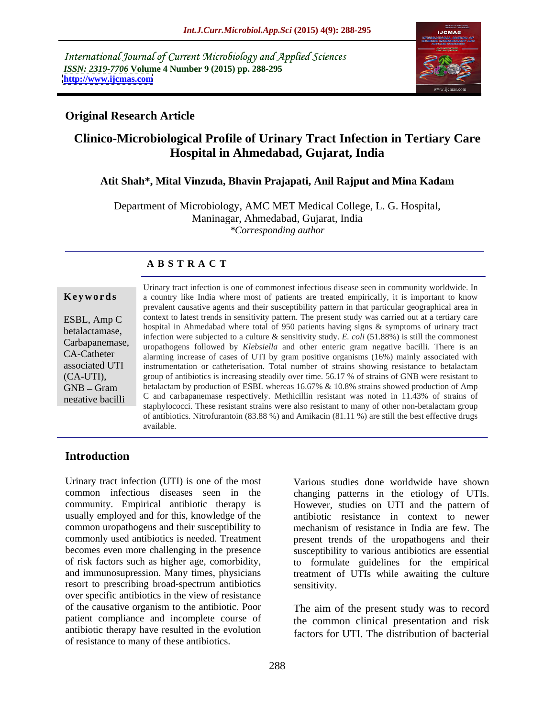International Journal of Current Microbiology and Applied Sciences *ISSN: 2319-7706* **Volume 4 Number 9 (2015) pp. 288-295 <http://www.ijcmas.com>**



### **Original Research Article**

# **Clinico-Microbiological Profile of Urinary Tract Infection in Tertiary Care Hospital in Ahmedabad, Gujarat, India**

### **Atit Shah\*, Mital Vinzuda, Bhavin Prajapati, Anil Rajput and Mina Kadam**

Department of Microbiology, AMC MET Medical College, L. G. Hospital, Maninagar, Ahmedabad, Gujarat, India *\*Corresponding author*

### **A B S T R A C T**

negative bacilli

Urinary tract infection is one of commonest infectious disease seen in community worldwide. In a country like India where most of patients are treated empirically, it is important to know **Ke ywo rds** prevalent causative agents and their susceptibility pattern in that particular geographical area in ESBL, Amp C context to latest trends in sensitivity pattern. The present study was carried out at a tertiary care hospital in Ahmedabad where total of 950 patients having signs & symptoms of urinary tract<br>betalactamase, historial provision of the continue of a provision to the E of (51,99%) is still the commenced infection were subjected to a culture & sensitivity study. *E. coli* (51.88%) is still the commonest Carbapanemase, including were subjected to a culture of sensitivity study. E. coll (51.66%) is suff the commonest uropathogens followed by *Klebsiella* and other enteric gram negative bacilli. There is an CA-Catheter alarming increase of cases of UTI by gram positive organisms (16%) mainly associated with associated UTI instrumentation or catheterisation. Total number of strains showing resistance to betalactam (CA-UTI), group of antibiotics is increasing steadily over time. 56.17 % of strains of GNB were resistant to  $GNB - Gram$  betalactam by production of ESBL whereas 16.67%  $\&$  10.8% strains showed production of Amp C and carbapanemase respectively. Methicillin resistant was noted in 11.43% of strains of staphylococci. These resistant strains were also resistant to many of other non-betalactam group of antibiotics. Nitrofurantoin (83.88 %) and Amikacin (81.11 %) are still the best effective drugs available.

### **Introduction**

Urinary tract infection (UTI) is one of the most Various studies done worldwide have shown common infectious diseases seen in the changing patterns in the etiology of UTIs. community. Empirical antibiotic therapy is However, studies on UTI and the pattern of usually employed and for this, knowledge of the common uropathogens and their susceptibility to commonly used antibiotics is needed. Treatment present trends of the uropathogens and their becomes even more challenging in the presence susceptibility to various antibiotics are essential of risk factors such as higher age, comorbidity, to formulate guidelines for the empirical and immunosupression. Many times, physicians treatment of UTIs while awaiting the culture resort to prescribing broad-spectrum antibiotics over specific antibiotics in the view of resistance of the causative organism to the antibiotic. Poor patient compliance and incomplete course of antibiotic therapy have resulted in the evolution of resistance to many of these antibiotics.

antibiotic resistance in context to newer mechanism of resistance in India are few. The sensitivity.

The aim of the present study was to record the common clinical presentation and risk factors for UTI. The distribution of bacterial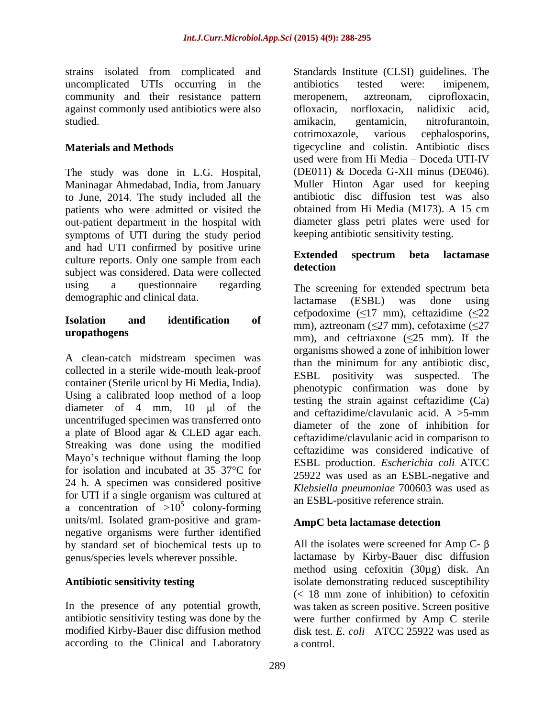uncomplicated UTIs occurring in the antibiotics tested were: imipenem, community and their resistance pattern meropenem, aztreonam, ciprofloxacin, against commonly used antibiotics were also of loxacin, norfloxacin, nalidixic acid, studied. The studied of the studied. The studied of the studied of the studied of the studied of the studies of the studies of the studies of the studies of the studies of the studies of the studies of the studies of the s

The study was done in L.G. Hospital, Maninagar Ahmedabad, India, from January to June, 2014. The study included all the patients who were admitted or visited the out-patient department in the hospital with symptoms of UTI during the study period and had UTI confirmed by positive urine<br> **Extended** spectrum beta lactamase culture reports. Only one sample from each **Extended** subject was considered. Data were collected using a questionnaire regarding The screening for extended spectrum beta demographic and clinical data.  $\overline{A}$  actamase (ESBL) was done using

A clean-catch midstream specimen was collected in a sterile wide-mouth leak-proof<br>ESBL positivity was suspected. The container (Sterile uricol by Hi Media, India). Using a calibrated loop method of a loop diameter of 4 mm, 10  $\mu$ l of the and ceftazidime/clavulanic acid. A  $>5$ -mm uncentrifuged specimen was transferred onto a plate of Blood agar & CLED agar each. Streaking was done using the modified Mayo's technique without flaming the loop for isolation and incubated at  $35-37$ °C for 24 h. A specimen was considered positive for UTI if a single organism was cultured at a concentration of  $>10^{\circ}$  colony-forming  $\frac{10^{10}}{20}$  concentration of  $\frac{10^{10}}{20}$  colony-forming units/ml. Isolated gram-positive and gram negative organisms were further identified by standard set of biochemical tests up to genus/species levels wherever possible.

according to the Clinical and Laboratory

strains isolated from complicated and Standards Institute (CLSI) guidelines. The **Materials and Methods** tigecycline and colistin. Antibiotic discs antibiotics tested were: imipenem, meropenem, aztreonam, ciprofloxacin, ofloxacin, norfloxacin, nalidixic acid, amikacin, gentamicin, nitrofurantoin, cotrimoxazole, various cephalosporins, used were from Hi Media - Doceda UTI-IV (DE011) & Doceda G-XII minus (DE046). Muller Hinton Agar used for keeping antibiotic disc diffusion test was also obtained from Hi Media (M173). A 15 cm diameter glass petri plates were used for keeping antibiotic sensitivity testing.

## **Extended spectrum beta lactamase detection**

**Isolation and identification of**  $\text{mm}$ ), aztreonam ( $\leq$ 27 mm), cefotaxime ( $\leq$ 27 **uropathogens** mm), and ceftriaxone  $(\leq 25 \text{ mm})$ . If the  $\frac{5}{2}$  colony forming all ESBL-positive reference strain. lactamase (ESBL) was done using cefpodoxime ( $\leq$ 17 mm), ceftazidime ( $\leq$ 22 organisms showed a zone of inhibition lower than the minimum for any antibiotic disc, ESBL positivity was suspected. phenotypic confirmation was done by testing the strain against ceftazidime (Ca) and ceftazidime/clavulanic acid. A >5-mm diameter of the zone of inhibition for ceftazidime/clavulanic acid in comparison to ceftazidime was considered indicative of ESBL production. *Escherichia coli* ATCC 25922 was used as an ESBL-negative and *Klebsiella pneumoniae* 700603 was used as an ESBL-positive reference strain.

# **AmpC beta lactamase detection**

Antibiotic sensitivity testing **interpreteral constrational services** isolate demonstrating reduced susceptibility In the presence of any potential growth, was taken as screen positive. Screen positive antibiotic sensitivity testing was done by the were further confirmed by Amp C sterile modified Kirby-Bauer disc diffusion method disk test. *E. coli* ATCC 25922 was used as All the isolates were screened for Amp C- $\beta$ lactamase by Kirby-Bauer disc diffusion method using cefoxitin (30µg) disk. An  $\leq$  18 mm zone of inhibition) to cefoxitin a control.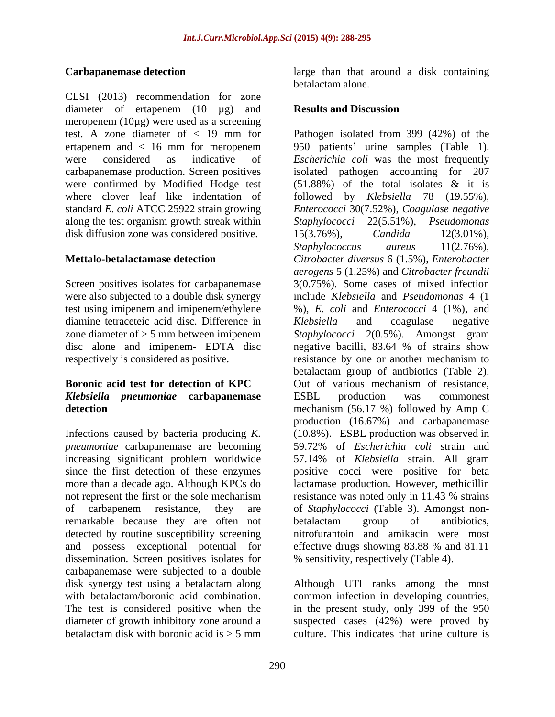CLSI (2013) recommendation for zone diameter of ertapenem (10 µg) and **Results and Discussion** meropenem (10µg) were used as a screening along the test organism growth streak within Staphylococci 22(5.51%), Pseudomonas disk diffusion zone was considered positive.  $15(3.76\%)$ , *Candida*  $12(3.01\%)$ ,

Screen positives isolates for carbapanemase were also subjected to a double disk synergy test using imipenem and imipenem/ethylene diamine tetraceteic acid disc. Difference in Klebsiella and coagulase negative

# *Klebsiella pneumoniae* **carbapanemase**

*pneumoniae* carbapanemase are becoming<br>increasing significant problem worldwide remarkable because they are often not betalactam group of antibiotics, detected by routine susceptibility screening dissemination. Screen positives isolates for carbapanemase were subjected to a double disk synergy test using a betalactam along Although UTI ranks among the most with betalactam/boronic acid combination. common infection in developing countries, The test is considered positive when the diameter of growth inhibitory zone around a suspected cases (42%) were proved by betalactam disk with boronic acid is  $> 5$  mm culture. This indicates that urine culture is

**Carbapanemase detection** large than that around a disk containing betalactam alone.

### **Results and Discussion**

test. A zone diameter of < 19 mm for Pathogen isolated from 399 (42%) of the ertapenem and < 16 mm for meropenem 950 patients' urine samples (Table 1). were considered as indicative of *Escherichia coli* was the most frequently carbapanemase production. Screen positives isolated pathogen accounting for 207 were confirmed by Modified Hodge test (51.88%) of the total isolates & it is where clover leaf like indentation of followed by *Klebsiella* 78 (19.55%), standard *E. coli* ATCC 25922 strain growing *Enterococci* 30(7.52%), *Coagulase negative* **Mettalo-betalactamase detection** *Citrobacter diversus* 6 (1.5%), *Enterobacter* zone diameter of > 5 mm between imipenem *Staphylococci* 2(0.5%). Amongst gram disc alone and imipenem- EDTA disc negative bacilli, 83.64 % of strains show respectively is considered as positive. The resistance by one or another mechanism to **Boronic acid test for detection of KPC** Out of various mechanism of resistance, **detection** mechanism (56.17 %) followed by Amp C Infections caused by bacteria producing *K.* (10.8%). ESBL production was observed in increasing significant problem worldwide 57.14% of *Klebsiella* strain. All gram since the first detection of these enzymes positive cocci were positive for beta more than a decade ago. Although KPCs do lactamase production. However, methicillin not represent the first or the sole mechanism resistance was noted only in 11.43 % strains of carbapenem resistance, they are of *Staphylococci* (Table 3). Amongst non and possess exceptional potential for effective drugs showing 83.88 % and 81.11 *Staphylococci* 22(5.51%), 15(3.76%), *Candida* 12(3.01%)*, Staphylococcus aureus* 11(2.76%), *aerogens* 5 (1.25%) and *Citrobacter freundii* 3(0.75%). Some cases of mixed infection include *Klebsiella* and *Pseudomonas* 4 (1 %), *E. coli* and *Enterococci* 4 (1%), and *Klebsiella* and coagulase negative betalactam group of antibiotics (Table 2). ESBL production was commonest production (16.67%) and carbapanemase 59.72% of *Escherichia coli* strain and betalactam group of antibiotics, nitrofurantoin and amikacin were most % sensitivity, respectively (Table 4).

> in the present study, only 399 of the 950 culture. This indicates that urine culture is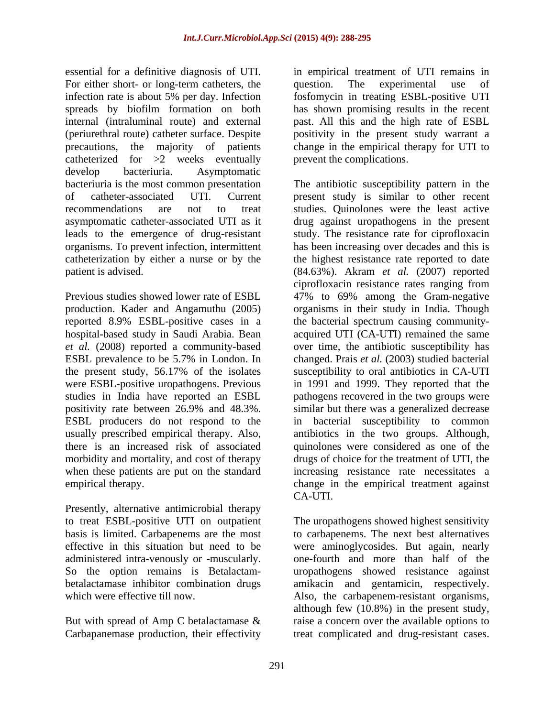essential for a definitive diagnosis of UTI. in empirical treatment of UTI remains in For either short- or long-term catheters, the question. The experimental use of infection rate is about 5% per day. Infection fosfomycin in treating ESBL-positive UTI spreads by biofilm formation on both has shown promising results in the recent internal (intraluminal route) and external past. All this and the high rate of ESBL (periurethral route) catheter surface. Despite positivity in the present study warrant a precautions, the majority of patients change in the empirical therapy for UTI to catheterized for >2 weeks eventually develop bacteriuria. Asymptomatic leads to the emergence of drug-resistant organisms. To prevent infection, intermittent

*et al.* (2008) reported a community-based the present study, 56.17% of the isolates ESBL producers do not respond to the

Presently, alternative antimicrobial therapy to treat ESBL-positive UTI on outpatient administered intra-venously or -muscularly.

But with spread of Amp C betalactamase &<br>Carbapanemase production, their effectivity Carbapanemase production, their effectivity treat complicated and drug-resistant cases.

question. The experimental use of prevent the complications.

bacteriuria is the most common presentation The antibiotic susceptibility pattern in the of catheter-associated UTI. Current present study is similar to other recent recommendations are not to treat studies. Quinolones were the least active asymptomatic catheter-associated UTI as it drug against uropathogens in the present catheterization by either a nurse or by the the highest resistance rate reported to date patient is advised. (84.63%). Akram *et al.* (2007) reported Previous studies showed lower rate of ESBL 47% to 69% among the Gram-negative production. Kader and Angamuthu (2005) organisms in their study in India. Though reported 8.9% ESBL-positive cases in a the bacterial spectrum causing community hospital-based study in Saudi Arabia. Bean acquired UTI (CA-UTI) remained the same ESBL prevalence to be 5.7% in London. In changed. Prais *et al.* (2003) studied bacterial were ESBL-positive uropathogens. Previous in 1991 and 1999. They reported that the studies in India have reported an ESBL pathogens recovered in the two groups were positivity rate between 26.9% and 48.3%. usually prescribed empirical therapy. Also, antibiotics in the two groups. Although, there is an increased risk of associated quinolones were considered as one of the morbidity and mortality, and cost of therapy drugs of choice for the treatment of UTI, the when these patients are put on the standard increasing resistance rate necessitates a empirical therapy. change in the empirical treatment against study. The resistance rate for ciprofloxacin has been increasing over decades and this is ciprofloxacin resistance rates ranging from over time, the antibiotic susceptibility has susceptibility to oral antibiotics in CA-UTI similar but there was a generalized decrease in bacterial susceptibility to common CA-UTI.

basis is limited. Carbapenems are the most to carbapenems. The next best alternatives effective in this situation but need to be were aminoglycosides. But again, nearly So the option remains is Betalactam- uropathogens showed resistance against betalactamase inhibitor combination drugs amikacin and gentamicin, respectively. which were effective till now. Also, the carbapenem-resistant organisms, The uropathogens showed highest sensitivity one-fourth and more than half of the although few (10.8%) in the present study, raise a concern over the available options to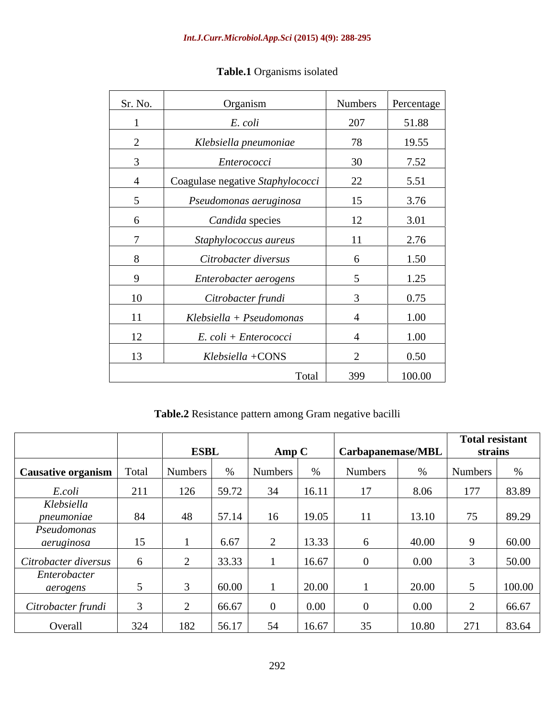| Sr. No. | Organism                         |        | Numbers Percentage |
|---------|----------------------------------|--------|--------------------|
|         | E. coli                          | 207    | 51.88              |
|         | Klebsiella pneumoniae            | 78     | 19.55              |
|         | Enterococci                      | 30     | 7.52               |
|         | Coagulase negative Staphylococci | 22     | 5.51               |
|         | Pseudomonas aeruginosa           | 15     | 3.76               |
|         | Candida species                  | 12     | 3.01               |
|         | Staphylococcus aureus            | 11     | 2.76               |
|         | Citrobacter diversus             |        | 1.50               |
|         | Enterobacter aerogens            |        | 1.25               |
| 10      | Citrobacter frundi               |        | 0.75               |
| 11      | Klebsiella + Pseudomonas         |        | 1.00               |
| 12      | E. coli + Enterococci            |        | 1.00               |
| 13      | Klebsiella +CONS                 | $\sim$ | 0.50               |
|         | Total                            | 399    | 100.00             |

# **Table.1** Organisms isolated

**Table.2** Resistance pattern among Gram negative bacilli

|                      |       |                |       |                      |                |                   |          | <b>Total resistant</b> |        |
|----------------------|-------|----------------|-------|----------------------|----------------|-------------------|----------|------------------------|--------|
|                      |       | <b>ESBL</b>    |       | $\bf{A}$ mp $\bf{C}$ |                | Carbapanemase/MBL |          | strains                |        |
| Causative organism   | Total | <b>Numbers</b> |       | Numbers              |                | Numbers           |          | <b>Numbers</b>         |        |
| E.coli               | 211   | 126            | 59.72 | 34                   | 16.11          |                   | 8.06     | 177                    | 83.89  |
| Klebsiella           |       |                |       |                      |                |                   |          |                        |        |
| pneumoniae           | 84    | 48             | 57.14 | 16                   | 19.05          | 11                | 13.10    | $\overline{z}$         | 89.29  |
| Pseudomonas          |       |                |       |                      |                |                   |          |                        |        |
| aeruginosa           |       |                | 6.67  |                      | 13.33          |                   | 40.00    |                        | 60.00  |
| Citrobacter diversus |       |                | 33.33 |                      | 16.67          |                   | $0.00\,$ |                        | 50.00  |
| Enterobacter         |       |                |       |                      |                |                   |          |                        |        |
| aerogens             |       |                | 60.00 |                      | $\sqrt{20.00}$ |                   | 20.00    |                        | 100.00 |
|                      |       |                |       |                      |                |                   |          |                        |        |
| Citrobacter frundi   |       |                | 66.67 | $\left( \right)$     | 0.00           |                   | $0.00\,$ |                        | 66.67  |
| Overall              | 324   | 182            | 56.17 | 54                   | 16.67          | 25                | 10.80    | 271                    | 83.64  |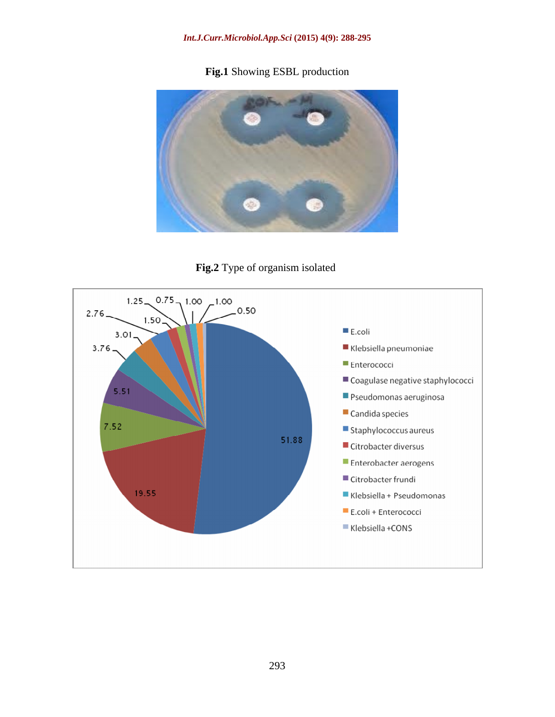# **Fig.1** Showing ESBL production



**Fig.2** Type of organism isolated

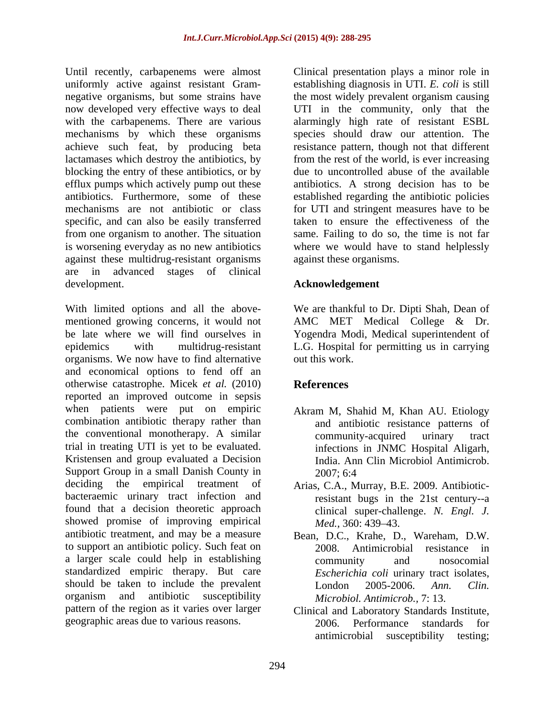Until recently, carbapenems were almost Clinical presentation plays a minor role in uniformly active against resistant Gram- establishing diagnosis in UTI. *E. coli* is still negative organisms, but some strains have the most widely prevalent organism causing now developed very effective ways to deal UTI in the community, only that the with the carbapenems. There are various alarmingly high rate of resistant ESBL mechanisms by which these organisms species should draw our attention. The achieve such feat, by producing beta lactamases which destroy the antibiotics, by from the rest of the world, is ever increasing blocking the entry of these antibiotics, or by efflux pumps which actively pump out these antibiotics. Furthermore, some of these established regarding the antibiotic policies mechanisms are not antibiotic or class for UTI and stringent measures have to be specific, and can also be easily transferred from one organism to another. The situation is worsening everyday as no new antibiotics against these multidrug-resistant organisms are in advanced stages of clinical development. **Acknowledgement**

With limited options and all the above- We are thankful to Dr. Dipti Shah, Dean of mentioned growing concerns, it would not AMC MET Medical College & Dr. be late where we will find ourselves in Yogendra Modi, Medical superintendent of epidemics with multidrug-resistant L.G. Hospital for permitting us in carrying organisms. We now have to find alternative and economical options to fend off an otherwise catastrophe. Micek *et al.* (2010) reported an improved outcome in sepsis when patients were put on empiric combination antibiotic therapy rather than the conventional monotherapy. A similar trial in treating UTI is yet to be evaluated. Kristensen and group evaluated a Decision Support Group in a small Danish County in 2007: 6:4 deciding the empirical treatment of Arias, C.A., Murray, B.E. 2009. Antibioticbacteraemic urinary tract infection and found that a decision theoretic approach showed promise of improving empirical *Med.*, 360: 439–43. antibiotic treatment, and may be a measure Bean, D.C., Krahe, D., Wareham, D.W. to support an antibiotic policy. Such feat on a larger scale could help in establishing standardized empiric therapy. But care should be taken to include the prevalent  $I_{\text{ondon}}$  2005-2006, Ann. Clin. organism and antibiotic susceptibility *Microbiol Antimicrob.* 7:13. pattern of the region as it varies over larger

resistance pattern, though not that different due to uncontrolled abuse of the available antibiotics. A strong decision has to be taken to ensure the effectiveness of the same. Failing to do so, the time is not far where we would have to stand helplessly against these organisms.

out this work.

# **References**

- Akram M, Shahid M, Khan AU. Etiology and antibiotic resistance patterns of community-acquired urinary tract infections in JNMC Hospital Aligarh, India. Ann Clin Microbiol Antimicrob. 2007; 6:4
- resistant bugs in the 21st century--a clinical super-challenge. *N. Engl. J. Med.,* 360: 439–43.
- 2008. Antimicrobial resistance in community and nosocomial *Escherichia coli* urinary tract isolates, London 2005-2006. *Ann. Clin. Microbiol. Antimicrob.,* 7: 13.
- geographic areas due to various reasons. 2006. Performance standards for Clinical and Laboratory Standards Institute, Performance standards antimicrobial susceptibility testing;